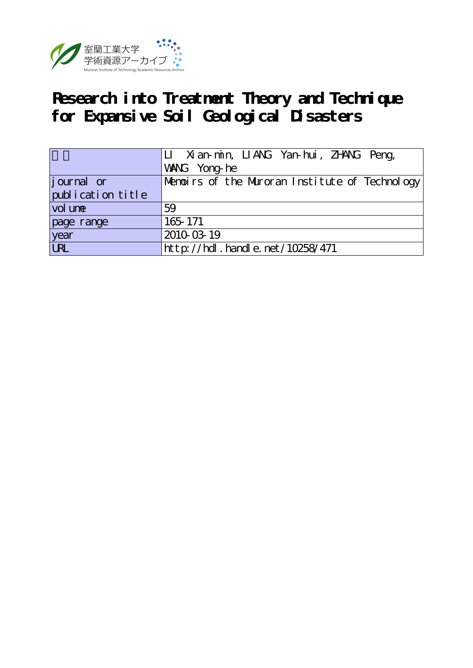

# **Research into Treatment Theory and Technique for Expansive Soil Geological Disasters**

|                   | LI Xian-min, LIANG Yan-hui, ZHANG Peng,<br>WANG Yong-he |
|-------------------|---------------------------------------------------------|
| journal or        | Menoirs of the Muroran Institute of Technology          |
| publication title |                                                         |
| vol une           | 59                                                      |
| page range        | 165 171                                                 |
| year<br>URL       | 2010-03-19                                              |
|                   | http://hdl.handle.net/10258/471                         |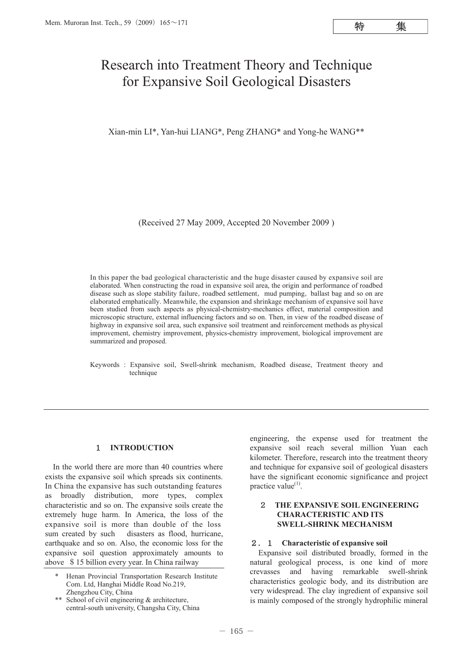特

# Research into Treatment Theory and Technique for Expansive Soil Geological Disasters

Xian-min LI\*, Yan-hui LIANG\*, Peng ZHANG\* and Yong-he WANG\*\*

(Received 27 May 2009, Accepted 20 November 2009 )

In this paper the bad geological characteristic and the huge disaster caused by expansive soil are elaborated. When constructing the road in expansive soil area, the origin and performance of roadbed disease such as slope stability failure, roadbed settlement, mud pumping, ballast bag and so on are elaborated emphatically. Meanwhile, the expansion and shrinkage mechanism of expansive soil have been studied from such aspects as physical-chemistry-mechanics effect, material composition and microscopic structure, external influencing factors and so on. Then, in view of the roadbed disease of highway in expansive soil area, such expansive soil treatment and reinforcement methods as physical improvement, chemistry improvement, physics-chemistry improvement, biological improvement are summarized and proposed.

Keywords : Expansive soil, Swell-shrink mechanism, Roadbed disease, Treatment theory and technique

# 1 **INTRODUCTION**

In the world there are more than 40 countries where exists the expansive soil which spreads six continents. In China the expansive has such outstanding features as broadly distribution, more types, complex characteristic and so on. The expansive soils create the extremely huge harm. In America, the loss of the expansive soil is more than double of the loss sum created by such disasters as flood, hurricane, earthquake and so on. Also, the economic loss for the expansive soil question approximately amounts to above \$15 billion every year. In China railway

\*\* School of civil engineering & architecture, central-south university, Changsha City, China engineering, the expense used for treatment the expansive soil reach several million Yuan each kilometer. Therefore, research into the treatment theory and technique for expansive soil of geological disasters have the significant economic significance and project practice value<sup>(1)</sup>.

#### 2 **THE EXPANSIVE SOIL ENGINEERING CHARACTERISTIC AND ITS SWELL-SHRINK MECHANISM**

#### 2.1 **Characteristic of expansive soil**

Expansive soil distributed broadly, formed in the natural geological process, is one kind of more crevasses and having remarkable swell-shrink characteristics geologic body, and its distribution are very widespread. The clay ingredient of expansive soil is mainly composed of the strongly hydrophilic mineral

Henan Provincial Transportation Research Institute Com. Ltd, Hanghai Middle Road No.219, Zhengzhou City, China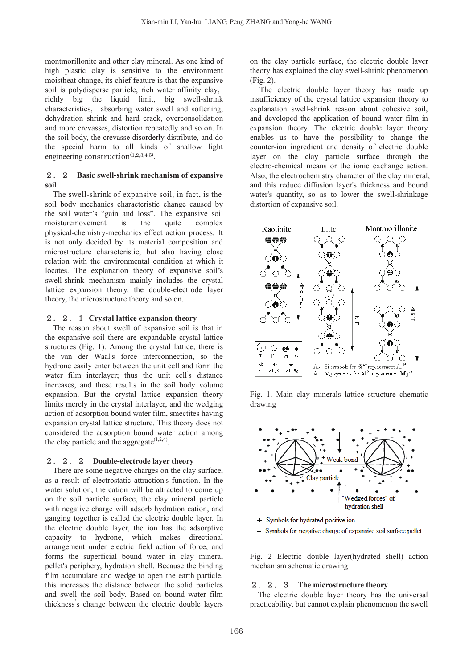montmorillonite and other clay mineral. As one kind of high plastic clay is sensitive to the environment moistheat change, its chief feature is that the expansive soil is polydisperse particle, rich water affinity clay, richly big the liquid limit, big swell-shrink characteristics, absorbing water swell and softening, dehydration shrink and hard crack, overconsolidation and more crevasses, distortion repeatedly and so on. In the soil body, the crevasse disorderly distribute, and do the special harm to all kinds of shallow light engineering construction $(1,2,3,4,5)$ .

#### 2.2 **Basic swell-shrink mechanism of expansive soil**

The swell-shrink of expansive soil, in fact, is the soil body mechanics characteristic change caused by the soil water's "gain and loss". The expansive soil moisturemovement is the quite complex physical-chemistry-mechanics effect action process. It is not only decided by its material composition and microstructure characteristic, but also having close relation with the environmental condition at which it locates. The explanation theory of expansive soil's swell-shrink mechanism mainly includes the crystal lattice expansion theory, the double-electrode layer theory, the microstructure theory and so on.

#### 2.2.1 **Crystal lattice expansion theory**

The reason about swell of expansive soil is that in the expansive soil there are expandable crystal lattice structures (Fig. 1). Among the crystal lattice, there is the van der Waal' s force interconnection, so the hydrone easily enter between the unit cell and form the water film interlayer; thus the unit cell's distance increases, and these results in the soil body volume expansion. But the crystal lattice expansion theory limits merely in the crystal interlayer, and the wedging action of adsorption bound water film, smectites having expansion crystal lattice structure. This theory does not considered the adsorption bound water action among the clay particle and the aggregate $(1,2,4)$ .

#### 2.2.2 **Double-electrode layer theory**

There are some negative charges on the clay surface, as a result of electrostatic attraction's function. In the water solution, the cation will be attracted to come up on the soil particle surface, the clay mineral particle with negative charge will adsorb hydration cation, and ganging together is called the electric double layer. In the electric double layer, the ion has the adsorptive capacity to hydrone, which makes directional arrangement under electric field action of force, and forms the superficial bound water in clay mineral pellet's periphery, hydration shell. Because the binding film accumulate and wedge to open the earth particle, this increases the distance between the solid particles and swell the soil body. Based on bound water film thickness' s change between the electric double layers on the clay particle surface, the electric double layer theory has explained the clay swell-shrink phenomenon (Fig. 2).

The electric double layer theory has made up insufficiency of the crystal lattice expansion theory to explanation swell-shrink reason about cohesive soil, and developed the application of bound water film in expansion theory. The electric double layer theory enables us to have the possibility to change the counter-ion ingredient and density of electric double layer on the clay particle surface through the electro-chemical means or the ionic exchange action. Also, the electrochemistry character of the clay mineral, and this reduce diffusion layer's thickness and bound water's quantity, so as to lower the swell-shrinkage distortion of expansive soil.



Fig. 1. Main clay minerals lattice structure chematic drawing



- + Symbols for hydrated positive ion
- Symbols for negative charge of expansive soil surface pellet

Fig. 2 Electric double layer(hydrated shell) action mechanism schematic drawing

#### 2.2.3 **The microstructure theory**

The electric double layer theory has the universal practicability, but cannot explain phenomenon the swell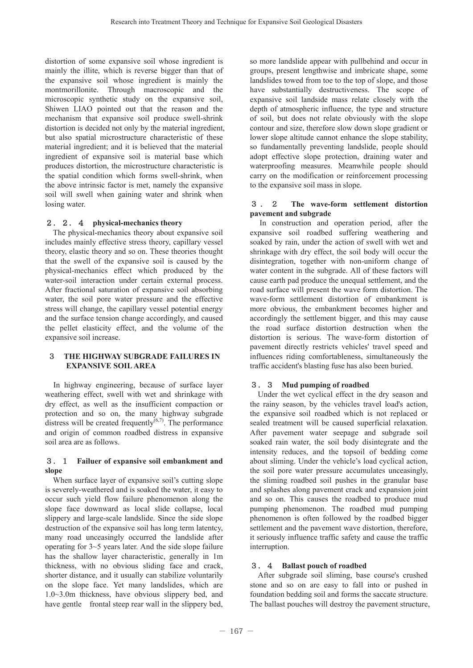distortion of some expansive soil whose ingredient is mainly the illite, which is reverse bigger than that of the expansive soil whose ingredient is mainly the montmorillonite. Through macroscopic and the microscopic synthetic study on the expansive soil, Shiwen LIAO pointed out that the reason and the mechanism that expansive soil produce swell-shrink distortion is decided not only by the material ingredient, but also spatial microstructure characteristic of these material ingredient; and it is believed that the material ingredient of expansive soil is material base which produces distortion, the microstructure characteristic is the spatial condition which forms swell-shrink, when the above intrinsic factor is met, namely the expansive soil will swell when gaining water and shrink when losing water.

# 2.2.4 **physical-mechanics theory**

The physical-mechanics theory about expansive soil includes mainly effective stress theory, capillary vessel theory, elastic theory and so on. These theories thought that the swell of the expansive soil is caused by the physical-mechanics effect which produced by the water-soil interaction under certain external process. After fractional saturation of expansive soil absorbing water, the soil pore water pressure and the effective stress will change, the capillary vessel potential energy and the surface tension change accordingly, and caused the pellet elasticity effect, and the volume of the expansive soil increase.

#### 3 **THE HIGHWAY SUBGRADE FAILURES IN EXPANSIVE SOIL AREA**

In highway engineering, because of surface layer weathering effect, swell with wet and shrinkage with dry effect, as well as the insufficient compaction or protection and so on, the many highway subgrade distress will be created frequently $^{(6,7)}$ . The performance and origin of common roadbed distress in expansive soil area are as follows.

#### 3.1 **Failuer of expansive soil embankment and slope**

When surface layer of expansive soil's cutting slope is severely-weathered and is soaked the water, it easy to occur such yield flow failure phenomenon along the slope face downward as local slide collapse, local slippery and large-scale landslide. Since the side slope destruction of the expansive soil has long term latentcy, many road unceasingly occurred the landslide after operating for 3~5 years later. And the side slope failure has the shallow layer characteristic, generally in 1m thickness, with no obvious sliding face and crack, shorter distance, and it usually can stabilize voluntarily on the slope face. Yet many landslides, which are 1.0~3.0m thickness, have obvious slippery bed, and have gentle frontal steep rear wall in the slippery bed,

so more landslide appear with pullbehind and occur in groups, present lengthwise and imbricate shape, some landslides towed from toe to the top of slope, and those have substantially destructiveness. The scope of expansive soil landside mass relate closely with the depth of atmospheric influence, the type and structure of soil, but does not relate obviously with the slope contour and size, therefore slow down slope gradient or lower slope altitude cannot enhance the slope stability, so fundamentally preventing landslide, people should adopt effective slope protection, draining water and waterproofing measures. Meanwhile people should carry on the modification or reinforcement processing to the expansive soil mass in slope.

#### 3 . 2 **The wave-form settlement distortion pavement and subgrade**

In construction and operation period, after the expansive soil roadbed suffering weathering and soaked by rain, under the action of swell with wet and shrinkage with dry effect, the soil body will occur the disintegration, together with non-uniform change of water content in the subgrade. All of these factors will cause earth pad produce the unequal settlement, and the road surface will present the wave form distortion. The wave-form settlement distortion of embankment is more obvious, the embankment becomes higher and accordingly the settlement bigger, and this may cause the road surface distortion destruction when the distortion is serious. The wave-form distortion of pavement directly restricts vehicles' travel speed and influences riding comfortableness, simultaneously the traffic accident's blasting fuse has also been buried.

# 3.3 **Mud pumping of roadbed**

Under the wet cyclical effect in the dry season and the rainy season, by the vehicles travel load's action, the expansive soil roadbed which is not replaced or sealed treatment will be caused superficial relaxation. After pavement water seepage and subgrade soil soaked rain water, the soil body disintegrate and the intensity reduces, and the topsoil of bedding come about sliming. Under the vehicle's load cyclical action, the soil pore water pressure accumulates unceasingly, the sliming roadbed soil pushes in the granular base and splashes along pavement crack and expansion joint and so on. This causes the roadbed to produce mud pumping phenomenon. The roadbed mud pumping phenomenon is often followed by the roadbed bigger settlement and the pavement wave distortion, therefore, it seriously influence traffic safety and cause the traffic interruption.

# 3.4 **Ballast pouch of roadbed**

After subgrade soil sliming, base course's crushed stone and so on are easy to fall into or pushed in foundation bedding soil and forms the saccate structure. The ballast pouches will destroy the pavement structure,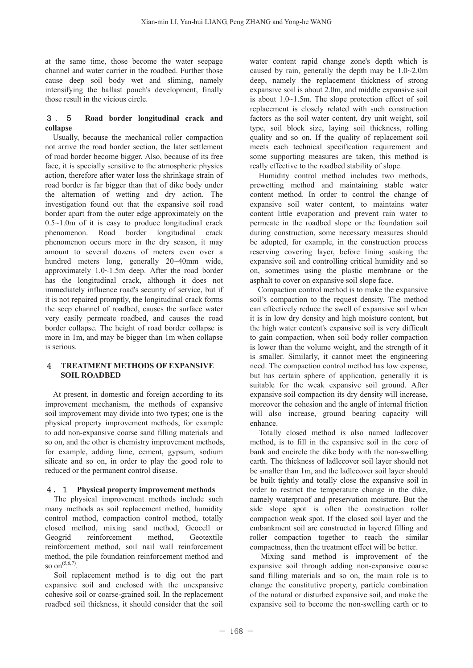at the same time, those become the water seepage channel and water carrier in the roadbed. Further those cause deep soil body wet and sliming, namely intensifying the ballast pouch's development, finally those result in the vicious circle.

#### 3 . 5 **Road border longitudinal crack and collapse**

Usually, because the mechanical roller compaction not arrive the road border section, the later settlement of road border become bigger. Also, because of its free face, it is specially sensitive to the atmospheric physics action, therefore after water loss the shrinkage strain of road border is far bigger than that of dike body under the alternation of wetting and dry action. The investigation found out that the expansive soil road border apart from the outer edge approximately on the 0.5~1.0m of it is easy to produce longitudinal crack phenomenon. Road border longitudinal crack phenomenon occurs more in the dry season, it may amount to several dozens of meters even over a hundred meters long, generally 20~40mm wide, approximately 1.0~1.5m deep. After the road border has the longitudinal crack, although it does not immediately influence road's security of service, but if it is not repaired promptly, the longitudinal crack forms the seep channel of roadbed, causes the surface water very easily permeate roadbed, and causes the road border collapse. The height of road border collapse is more in 1m, and may be bigger than 1m when collapse is serious.

#### 4 **TREATMENT METHODS OF EXPANSIVE SOIL ROADBED**

At present, in domestic and foreign according to its improvement mechanism, the methods of expansive soil improvement may divide into two types; one is the physical property improvement methods, for example to add non-expansive coarse sand filling materials and so on, and the other is chemistry improvement methods, for example, adding lime, cement, gypsum, sodium silicate and so on, in order to play the good role to reduced or the permanent control disease.

# 4.1 **Physical property improvement methods**

The physical improvement methods include such many methods as soil replacement method, humidity control method, compaction control method, totally closed method, mixing sand method, Geocell or Geogrid reinforcement method, Geotextile reinforcement method, soil nail wall reinforcement method, the pile foundation reinforcement method and so on $^{(5,6,7)}$ 

Soil replacement method is to dig out the part expansive soil and enclosed with the unexpansive cohesive soil or coarse-grained soil. In the replacement roadbed soil thickness, it should consider that the soil

water content rapid change zone's depth which is caused by rain, generally the depth may be 1.0~2.0m deep, namely the replacement thickness of strong expansive soil is about 2.0m, and middle expansive soil is about 1.0~1.5m. The slope protection effect of soil replacement is closely related with such construction factors as the soil water content, dry unit weight, soil type, soil block size, laying soil thickness, rolling quality and so on. If the quality of replacement soil meets each technical specification requirement and some supporting measures are taken, this method is really effective to the roadbed stability of slope.

Humidity control method includes two methods, prewetting method and maintaining stable water content method. In order to control the change of expansive soil water content, to maintains water content little evaporation and prevent rain water to permeate in the roadbed slope or the foundation soil during construction, some necessary measures should be adopted, for example, in the construction process reserving covering layer, before lining soaking the expansive soil and controlling critical humidity and so on, sometimes using the plastic membrane or the asphalt to cover on expansive soil slope face.

Compaction control method is to make the expansive soil's compaction to the request density. The method can effectively reduce the swell of expansive soil when it is in low dry density and high moisture content, but the high water content's expansive soil is very difficult to gain compaction, when soil body roller compaction is lower than the volume weight, and the strength of it is smaller. Similarly, it cannot meet the engineering need. The compaction control method has low expense, but has certain sphere of application, generally it is suitable for the weak expansive soil ground. After expansive soil compaction its dry density will increase, moreover the cohesion and the angle of internal friction will also increase, ground bearing capacity will enhance.

Totally closed method is also named ladlecover method, is to fill in the expansive soil in the core of bank and encircle the dike body with the non-swelling earth. The thickness of ladlecover soil layer should not be smaller than 1m, and the ladlecover soil layer should be built tightly and totally close the expansive soil in order to restrict the temperature change in the dike, namely waterproof and preservation moisture. But the side slope spot is often the construction roller compaction weak spot. If the closed soil layer and the embankment soil are constructed in layered filling and roller compaction together to reach the similar compactness, then the treatment effect will be better.

Mixing sand method is improvement of the expansive soil through adding non-expansive coarse sand filling materials and so on, the main role is to change the constitutive property, particle combination of the natural or disturbed expansive soil, and make the expansive soil to become the non-swelling earth or to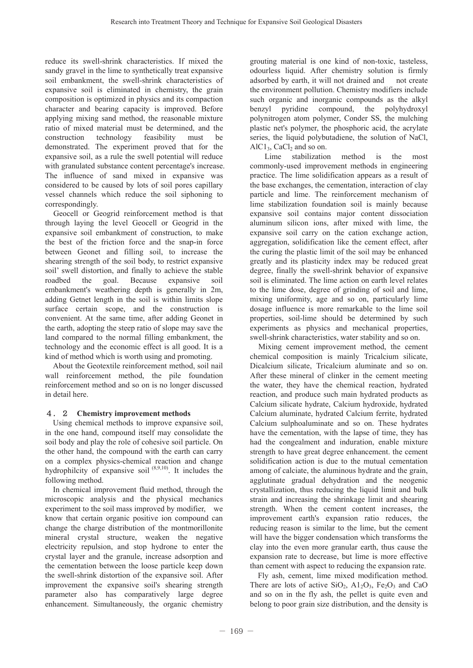reduce its swell-shrink characteristics. If mixed the sandy gravel in the lime to synthetically treat expansive soil embankment, the swell-shrink characteristics of expansive soil is eliminated in chemistry, the grain composition is optimized in physics and its compaction character and bearing capacity is improved. Before applying mixing sand method, the reasonable mixture ratio of mixed material must be determined, and the construction technology feasibility must be demonstrated. The experiment proved that for the expansive soil, as a rule the swell potential will reduce with granulated substance content percentage's increase. The influence of sand mixed in expansive was considered to be caused by lots of soil pores capillary vessel channels which reduce the soil siphoning to correspondingly.

Geocell or Geogrid reinforcement method is that through laying the level Geocell or Geogrid in the expansive soil embankment of construction, to make the best of the friction force and the snap-in force between Geonet and filling soil, to increase the shearing strength of the soil body, to restrict expansive soil' swell distortion, and finally to achieve the stable roadbed the goal. Because expansive soil embankment's weathering depth is generally in 2m, adding Getnet length in the soil is within limits slope surface certain scope, and the construction is convenient. At the same time, after adding Geonet in the earth, adopting the steep ratio of slope may save the land compared to the normal filling embankment, the technology and the economic effect is all good. It is a kind of method which is worth using and promoting.

About the Geotextile reinforcement method, soil nail wall reinforcement method, the pile foundation reinforcement method and so on is no longer discussed in detail here.

# 4.2 **Chemistry improvement methods**

Using chemical methods to improve expansive soil, in the one hand, compound itself may consolidate the soil body and play the role of cohesive soil particle. On the other hand, the compound with the earth can carry on a complex physics-chemical reaction and change hydrophilcity of expansive soil<sup>(8,9,10)</sup>. It includes the following method.

In chemical improvement fluid method, through the microscopic analysis and the physical mechanics experiment to the soil mass improved by modifier, we know that certain organic positive ion compound can change the charge distribution of the montmorillonite mineral crystal structure, weaken the negative electricity repulsion, and stop hydrone to enter the crystal layer and the granule, increase adsorption and the cementation between the loose particle keep down the swell-shrink distortion of the expansive soil. After improvement the expansive soil's shearing strength parameter also has comparatively large degree enhancement. Simultaneously, the organic chemistry grouting material is one kind of non-toxic, tasteless, odourless liquid. After chemistry solution is firmly adsorbed by earth, it will not drained and not create the environment pollution. Chemistry modifiers include such organic and inorganic compounds as the alkyl benzyl pyridine compound, the polyhydroxyl polynitrogen atom polymer, Conder SS, the mulching plastic net's polymer, the phosphoric acid, the acrylate series, the liquid polybutadiene, the solution of NaCl,  $AlCl<sub>3</sub>$ , CaCl<sub>2</sub> and so on.

Lime stabilization method is the most commonly-used improvement methods in engineering practice. The lime solidification appears as a result of the base exchanges, the cementation, interaction of clay particle and lime. The reinforcement mechanism of lime stabilization foundation soil is mainly because expansive soil contains major content dissociation aluminum silicon ions, after mixed with lime, the expansive soil carry on the cation exchange action, aggregation, solidification like the cement effect, after the curing the plastic limit of the soil may be enhanced greatly and its plasticity index may be reduced great degree, finally the swell-shrink behavior of expansive soil is eliminated. The lime action on earth level relates to the lime dose, degree of grinding of soil and lime, mixing uniformity, age and so on, particularly lime dosage influence is more remarkable to the lime soil properties, soil-lime should be determined by such experiments as physics and mechanical properties, swell-shrink characteristics, water stability and so on.

Mixing cement improvement method, the cement chemical composition is mainly Tricalcium silicate, Dicalcium silicate, Tricalcium aluminate and so on. After these mineral of clinker in the cement meeting the water, they have the chemical reaction, hydrated reaction, and produce such main hydrated products as Calcium silicate hydrate, Calcium hydroxide, hydrated Calcium aluminate, hydrated Calcium ferrite, hydrated Calcium sulphoaluminate and so on. These hydrates have the cementation, with the lapse of time, they has had the congealment and induration, enable mixture strength to have great degree enhancement. the cement solidification action is due to the mutual cementation among of calciate, the aluminous hydrate and the grain, agglutinate gradual dehydration and the neogenic crystallization, thus reducing the liquid limit and bulk strain and increasing the shrinkage limit and shearing strength. When the cement content increases, the improvement earth's expansion ratio reduces, the reducing reason is similar to the lime, but the cement will have the bigger condensation which transforms the clay into the even more granular earth, thus cause the expansion rate to decrease, but lime is more effective than cement with aspect to reducing the expansion rate.

Fly ash, cement, lime mixed modification method. There are lots of active  $SiO<sub>2</sub>$ ,  $Al<sub>2</sub>O<sub>3</sub>$ ,  $Fe<sub>2</sub>O<sub>3</sub>$  and CaO and so on in the fly ash, the pellet is quite even and belong to poor grain size distribution, and the density is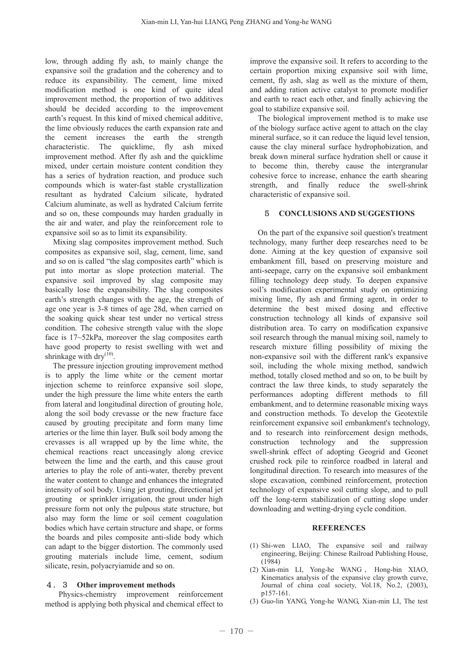low, through adding fly ash, to mainly change the expansive soil the gradation and the coherency and to reduce its expansibility. The cement, lime mixed modification method is one kind of quite ideal improvement method, the proportion of two additives should be decided according to the improvement earth's request. In this kind of mixed chemical additive, the lime obviously reduces the earth expansion rate and the cement increases the earth the strength characteristic. The quicklime, fly ash mixed improvement method. After fly ash and the quicklime mixed, under certain moisture content condition they has a series of hydration reaction, and produce such compounds which is water-fast stable crystallization resultant as hydrated Calcium silicate, hydrated Calcium aluminate, as well as hydrated Calcium ferrite and so on, these compounds may harden gradually in the air and water, and play the reinforcement role to expansive soil so as to limit its expansibility.

Mixing slag composites improvement method. Such composites as expansive soil, slag, cement, lime, sand and so on is called "the slag composites earth" which is put into mortar as slope protection material. The expansive soil improved by slag composite may basically lose the expansibility. The slag composites earth's strength changes with the age, the strength of age one year is 3-8 times of age 28d, when carried on the soaking quick shear test under no vertical stress condition. The cohesive strength value with the slope face is 17~52kPa, moreover the slag composites earth have good property to resist swelling with wet and shrinkage with  $\text{dry}^{(10)}$ .

The pressure injection grouting improvement method is to apply the lime white or the cement mortar injection scheme to reinforce expansive soil slope, under the high pressure the lime white enters the earth from lateral and longitudinal direction of grouting hole, along the soil body crevasse or the new fracture face caused by grouting precipitate and form many lime arteries or the lime thin layer. Bulk soil body among the crevasses is all wrapped up by the lime white, the chemical reactions react unceasingly along crevice between the lime and the earth, and this cause grout arteries to play the role of anti-water, thereby prevent the water content to change and enhances the integrated intensity of soil body. Using jet grouting, directional jet grouting or sprinkler irrigation, the grout under high pressure form not only the pulpous state structure, but also may form the lime or soil cement coagulation bodies which have certain structure and shape, or forms the boards and piles composite anti-slide body which can adapt to the bigger distortion. The commonly used grouting materials include lime, cement, sodium silicate, resin, polyacryiamide and so on.

# 4.3 **Other improvement methods**

Physics-chemistry improvement reinforcement method is applying both physical and chemical effect to

improve the expansive soil. It refers to according to the certain proportion mixing expansive soil with lime, cement, fly ash, slag as well as the mixture of them, and adding ration active catalyst to promote modifier and earth to react each other, and finally achieving the goal to stabilize expansive soil.

The biological improvement method is to make use of the biology surface active agent to attach on the clay mineral surface, so it can reduce the liquid level tension. cause the clay mineral surface hydrophobization, and break down mineral surface hydration shell or cause it to become thin, thereby cause the intergranular cohesive force to increase, enhance the earth shearing strength, and finally reduce the swell-shrink characteristic of expansive soil.

#### 5 **CONCLUSIONS AND SUGGESTIONS**

On the part of the expansive soil question's treatment technology, many further deep researches need to be done. Aiming at the key question of expansive soil embankment fill, based on preserving moisture and anti-seepage, carry on the expansive soil embankment filling technology deep study. To deepen expansive soil's modification experimental study on optimizing mixing lime, fly ash and firming agent, in order to determine the best mixed dosing and effective construction technology all kinds of expansive soil distribution area. To carry on modification expansive soil research through the manual mixing soil, namely to research mixture filling possibility of mixing the non-expansive soil with the different rank's expansive soil, including the whole mixing method, sandwich method, totally closed method and so on, to be built by contract the law three kinds, to study separately the performances adopting different methods to fill embankment, and to determine reasonable mixing ways and construction methods. To develop the Geotextile reinforcement expansive soil embankment's technology, and to research into reinforcement design methods, construction technology and the suppression swell-shrink effect of adopting Geogrid and Geonet crushed rock pile to reinforce roadbed in lateral and longitudinal direction. To research into measures of the slope excavation, combined reinforcement, protection technology of expansive soil cutting slope, and to pull off the long-term stabilization of cutting slope under downloading and wetting-drying cycle condition.

#### **REFERENCES**

- (1) Shi-wen LIAO, The expansive soil and railway engineering, Beijing: Chinese Railroad Publishing House, (1984)
- (2) Xian-min LI, Yong-he WANG , Hong-bin XIAO, Kinematics analysis of the expansive clay growth curve, Journal of china coal society, Vol.18, No.2, (2003), p157-161.
- (3) Guo-lin YANG, Yong-he WANG, Xian-min LI, The test